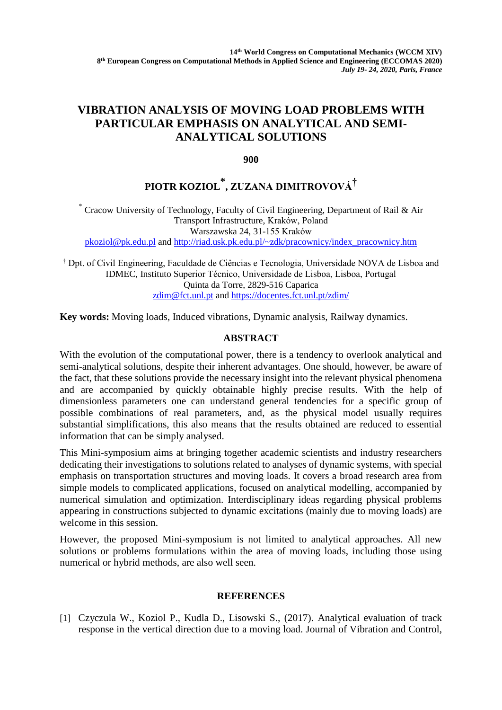## **VIBRATION ANALYSIS OF MOVING LOAD PROBLEMS WITH PARTICULAR EMPHASIS ON ANALYTICAL AND SEMI-ANALYTICAL SOLUTIONS**

**900**

## **PIOTR KOZIOL \* , ZUZANA DIMITROVOVÁ†**

\* Cracow University of Technology, Faculty of Civil Engineering, Department of Rail & Air Transport Infrastructure, Kraków, Poland Warszawska 24, 31-155 Kraków [pkoziol@pk.edu.pl](mailto:pkoziol@pk.edu.pl) and [http://riad.usk.pk.edu.pl/~zdk/pracownicy/index\\_pracownicy.htm](http://riad.usk.pk.edu.pl/~zdk/pracownicy/index_pracownicy.htm)

† Dpt. of Civil Engineering, Faculdade de Ciências e Tecnologia, Universidade NOVA de Lisboa and IDMEC, Instituto Superior Técnico, Universidade de Lisboa, Lisboa, Portugal Quinta da Torre, 2829-516 Caparica [zdim@fct.unl.pt](mailto:zdim@fct.unl.pt) and <https://docentes.fct.unl.pt/zdim/>

**Key words:** Moving loads, Induced vibrations, Dynamic analysis, Railway dynamics.

## **ABSTRACT**

With the evolution of the computational power, there is a tendency to overlook analytical and semi-analytical solutions, despite their inherent advantages. One should, however, be aware of the fact, that these solutions provide the necessary insight into the relevant physical phenomena and are accompanied by quickly obtainable highly precise results. With the help of dimensionless parameters one can understand general tendencies for a specific group of possible combinations of real parameters, and, as the physical model usually requires substantial simplifications, this also means that the results obtained are reduced to essential information that can be simply analysed.

This Mini-symposium aims at bringing together academic scientists and industry researchers dedicating their investigations to solutions related to analyses of dynamic systems, with special emphasis on transportation structures and moving loads. It covers a broad research area from simple models to complicated applications, focused on analytical modelling, accompanied by numerical simulation and optimization. Interdisciplinary ideas regarding physical problems appearing in constructions subjected to dynamic excitations (mainly due to moving loads) are welcome in this session.

However, the proposed Mini-symposium is not limited to analytical approaches. All new solutions or problems formulations within the area of moving loads, including those using numerical or hybrid methods, are also well seen.

## **REFERENCES**

[1] Czyczula W., Koziol P., Kudla D., Lisowski S., (2017). Analytical evaluation of track response in the vertical direction due to a moving load. Journal of Vibration and Control,